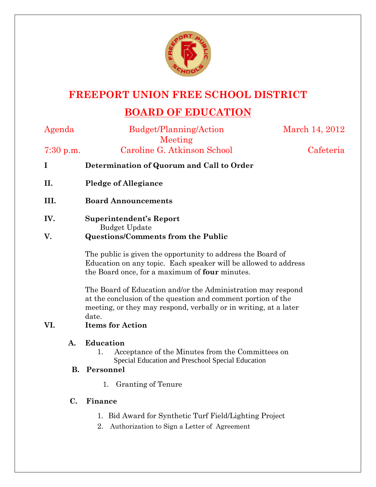

## **FREEPORT UNION FREE SCHOOL DISTRICT**

# **BOARD OF EDUCATION**

Budget/Planning/Action

March 14, 2012

Meeting 7:30 p.m. Caroline G. Atkinson School Cafeteria

- **I Determination of Quorum and Call to Order**
- **II. Pledge of Allegiance**
- **III. Board Announcements**
- **IV. Superintendent's Report** Budget Update **V. Questions/Comments from the Public**

The public is given the opportunity to address the Board of Education on any topic. Each speaker will be allowed to address the Board once, for a maximum of **four** minutes.

The Board of Education and/or the Administration may respond at the conclusion of the question and comment portion of the meeting, or they may respond, verbally or in writing, at a later date.

### **VI. Items for Action**

#### **A. Education**

1. Acceptance of the Minutes from the Committees on Special Education and Preschool Special Education

### **B. Personnel**

1. Granting of Tenure

### **C. Finance**

- 1. Bid Award for Synthetic Turf Field/Lighting Project
- 2. Authorization to Sign a Letter of Agreement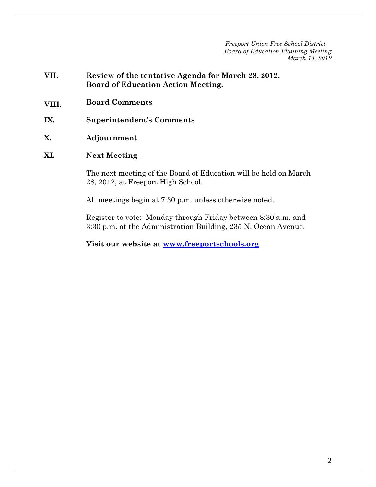- **VII. Review of the tentative Agenda for March 28, 2012, Board of Education Action Meeting.**
- **VIII. Board Comments**
- **IX. Superintendent's Comments**
- **X. Adjournment**
- **XI. Next Meeting**

The next meeting of the Board of Education will be held on March 28, 2012, at Freeport High School.

All meetings begin at 7:30 p.m. unless otherwise noted.

Register to vote: Monday through Friday between 8:30 a.m. and 3:30 p.m. at the Administration Building, 235 N. Ocean Avenue.

**Visit our website at www.freeportschools.org**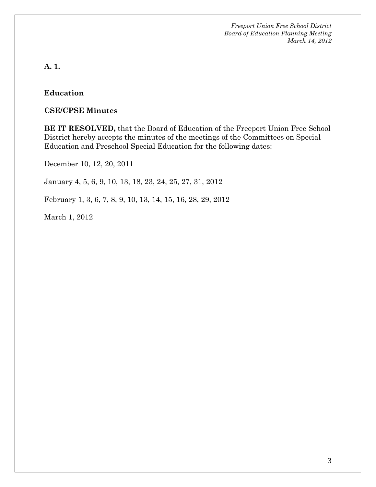**A. 1.** 

#### **Education**

#### **CSE/CPSE Minutes**

**BE IT RESOLVED,** that the Board of Education of the Freeport Union Free School District hereby accepts the minutes of the meetings of the Committees on Special Education and Preschool Special Education for the following dates:

December 10, 12, 20, 2011

January 4, 5, 6, 9, 10, 13, 18, 23, 24, 25, 27, 31, 2012

February 1, 3, 6, 7, 8, 9, 10, 13, 14, 15, 16, 28, 29, 2012

March 1, 2012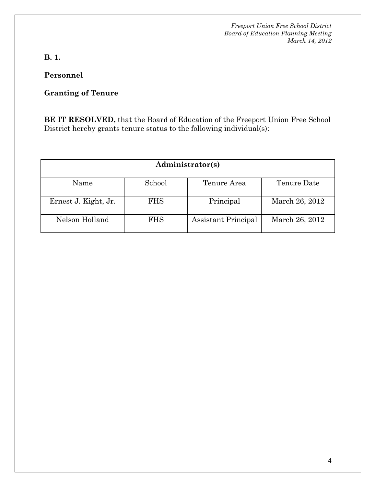**B. 1.** 

**Personnel** 

## **Granting of Tenure**

**BE IT RESOLVED,** that the Board of Education of the Freeport Union Free School District hereby grants tenure status to the following individual(s):

| Administrator(s)     |            |                     |                |  |
|----------------------|------------|---------------------|----------------|--|
| Name                 | School     | Tenure Area         | Tenure Date    |  |
| Ernest J. Kight, Jr. | <b>FHS</b> | Principal           | March 26, 2012 |  |
| Nelson Holland       | <b>FHS</b> | Assistant Principal | March 26, 2012 |  |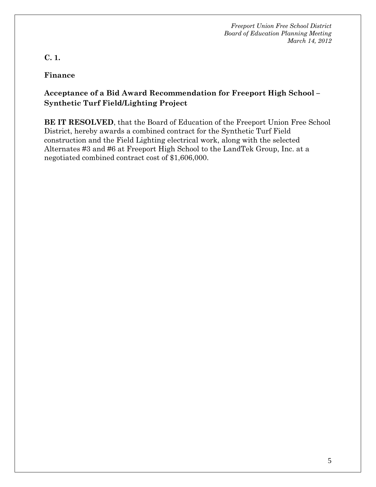**C. 1.** 

**Finance** 

## **Acceptance of a Bid Award Recommendation for Freeport High School – Synthetic Turf Field/Lighting Project**

**BE IT RESOLVED**, that the Board of Education of the Freeport Union Free School District, hereby awards a combined contract for the Synthetic Turf Field construction and the Field Lighting electrical work, along with the selected Alternates #3 and #6 at Freeport High School to the LandTek Group, Inc. at a negotiated combined contract cost of \$1,606,000.